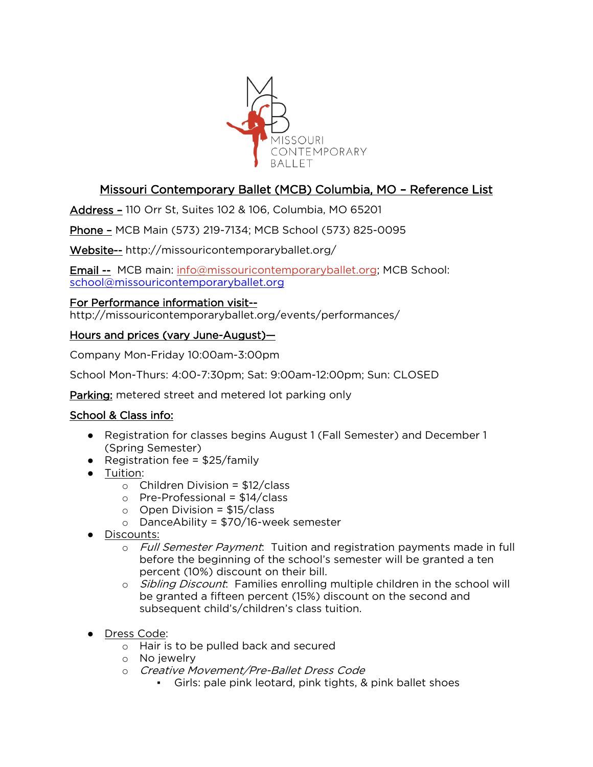

# Missouri Contemporary Ballet (MCB) Columbia, MO – Reference List

Address – 110 Orr St, Suites 102 & 106, Columbia, MO 65201

Phone – MCB Main (573) 219-7134; MCB School (573) 825-0095

Website-- http://missouricontemporaryballet.org/

Email -- MCB main: [info@missouricontemporaryballet.org;](mailto:info@missouricontemporaryballet.org) MCB School: [school@missouricontemporaryballet.org](mailto:school@missouricontemporaryballet.org)

#### For Performance information visit--

http://missouricontemporaryballet.org/events/performances/

### Hours and prices (vary June-August)—

Company Mon-Friday 10:00am-3:00pm

School Mon-Thurs: 4:00-7:30pm; Sat: 9:00am-12:00pm; Sun: CLOSED

Parking: metered street and metered lot parking only

### School & Class info:

- Registration for classes begins August 1 (Fall Semester) and December 1 (Spring Semester)
- Registration fee =  $$25/family$
- Tuition:
	- $\circ$  Children Division = \$12/class
	- $\circ$  Pre-Professional = \$14/class
	- $\circ$  Open Division = \$15/class
	- o DanceAbility = \$70/16-week semester
- Discounts:
	- o Full Semester Payment: Tuition and registration payments made in full before the beginning of the school's semester will be granted a ten percent (10%) discount on their bill.
	- o *Sibling Discount*: Families enrolling multiple children in the school will be granted a fifteen percent (15%) discount on the second and subsequent child's/children's class tuition.
- Dress Code:
	- o Hair is to be pulled back and secured
	- o No jewelry
	- o Creative Movement/Pre-Ballet Dress Code
		- Girls: pale pink leotard, pink tights, & pink ballet shoes